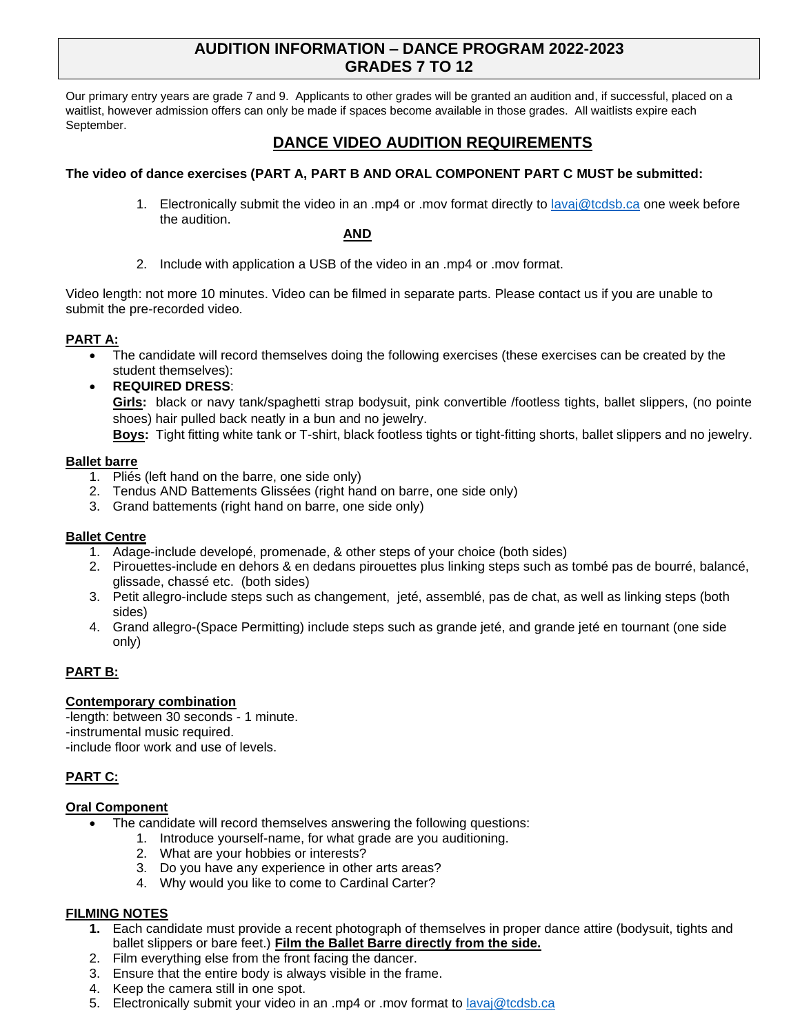# **AUDITION INFORMATION – DANCE PROGRAM 2022-2023 GRADES 7 TO 12**

Our primary entry years are grade 7 and 9. Applicants to other grades will be granted an audition and, if successful, placed on a waitlist, however admission offers can only be made if spaces become available in those grades. All waitlists expire each September.

# **DANCE VIDEO AUDITION REQUIREMENTS**

## **The video of dance exercises (PART A, PART B AND ORAL COMPONENT PART C MUST be submitted:**

1. Electronically submit the video in an .mp4 or .mov format directly to [lavaj@tcdsb.ca](mailto:lavaj@tcdsb.ca) one week before the audition.

### **AND**

2. Include with application a USB of the video in an .mp4 or .mov format.

Video length: not more 10 minutes. Video can be filmed in separate parts. Please contact us if you are unable to submit the pre-recorded video.

## **PART A:**

- The candidate will record themselves doing the following exercises (these exercises can be created by the student themselves):
- **REQUIRED DRESS**:

**Girls:** black or navy tank/spaghetti strap bodysuit, pink convertible /footless tights, ballet slippers, (no pointe shoes) hair pulled back neatly in a bun and no jewelry.

**Boys:** Tight fitting white tank or T-shirt, black footless tights or tight-fitting shorts, ballet slippers and no jewelry.

### **Ballet barre**

- 1. Pliés (left hand on the barre, one side only)
- 2. Tendus AND Battements Glissées (right hand on barre, one side only)
- 3. Grand battements (right hand on barre, one side only)

#### **Ballet Centre**

- 1. Adage-include developé, promenade, & other steps of your choice (both sides)
- 2. Pirouettes-include en dehors & en dedans pirouettes plus linking steps such as tombé pas de bourré, balancé, glissade, chassé etc. (both sides)
- 3. Petit allegro-include steps such as changement, jeté, assemblé, pas de chat, as well as linking steps (both sides)
- 4. Grand allegro-(Space Permitting) include steps such as grande jeté, and grande jeté en tournant (one side only)

# **PART B:**

## **Contemporary combination**

-length: between 30 seconds - 1 minute. -instrumental music required. -include floor work and use of levels.

# **PART C:**

#### **Oral Component**

- The candidate will record themselves answering the following questions:
	- 1. Introduce yourself-name, for what grade are you auditioning.
	- 2. What are your hobbies or interests?
	- 3. Do you have any experience in other arts areas?
	- 4. Why would you like to come to Cardinal Carter?

## **FILMING NOTES**

- **1.** Each candidate must provide a recent photograph of themselves in proper dance attire (bodysuit, tights and ballet slippers or bare feet.) **Film the Ballet Barre directly from the side.**
- 2. Film everything else from the front facing the dancer.
- 3. Ensure that the entire body is always visible in the frame.
- 4. Keep the camera still in one spot.
- 5. Electronically submit your video in an .mp4 or .mov format to [lavaj@tcdsb.ca](mailto:lavaj@tcdsb.ca)